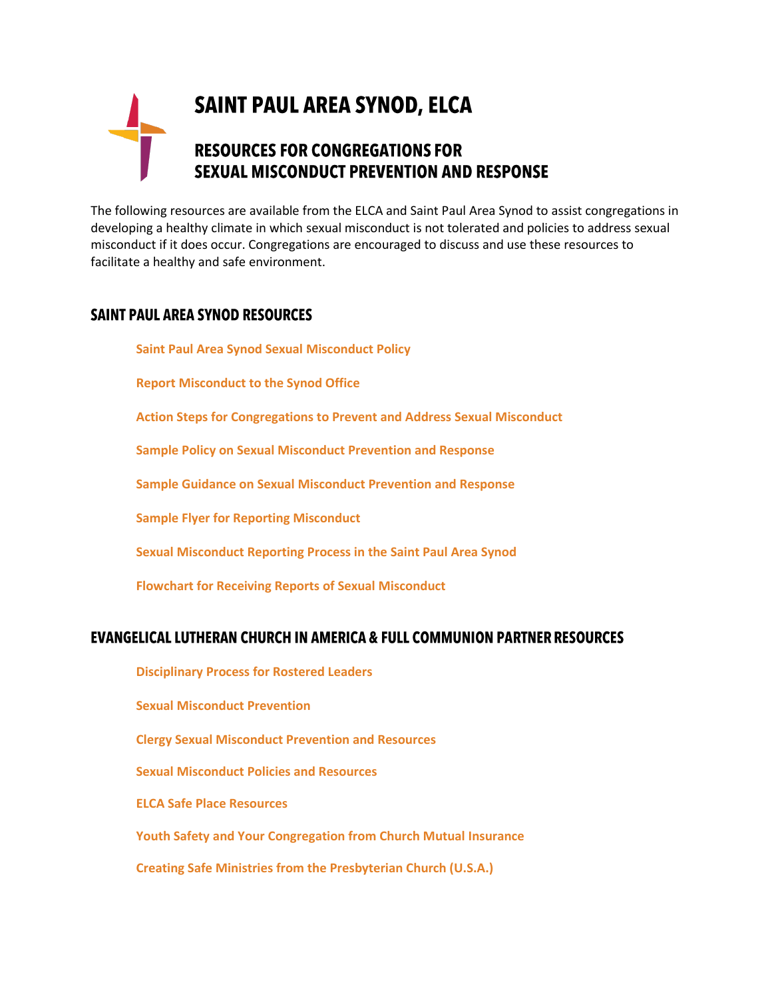## **SAINT PAUL AREA SYNOD, ELCA RESOURCES FOR CONGREGATIONS FOR SEXUAL MISCONDUCT PREVENTION AND RESPONSE**

The following resources are available from the ELCA and Saint Paul Area Synod to assist congregations in developing a healthy climate in which sexual misconduct is not tolerated and policies to address sexual misconduct if it does occur. Congregations are encouraged to discuss and use these resources to facilitate a healthy and safe environment.

## **SAINT PAUL AREA SYNOD RESOURCES**

**[Saint Paul Area Synod Sexual Misconduct Policy](http://www.spas-elca.org/wp-content/uploads/2016/12/Saint-Paul-Area-Synod-Misconduct-Policy.pdf)**

**[Report Misconduct to the Synod Office](https://www.spas-elca.org/resources/report-misconduct/)**

**[Action Steps for Congregations to Prevent and Address Sexual Misconduct](https://www.spas-elca.org/wp-content/uploads/2019/02/SPAS-sex-miscon-actions-steps-FINAL.pdf)**

**[Sample Policy on Sexual Misconduct Prevention and Response](https://www.spas-elca.org/wp-content/uploads/2019/02/Penultimate-copy.congregational-sexual-misconduct-reporting-policy-Jan-2019.Crippen-revisions.docx)**

**[Sample Guidance on Sexual Misconduct Prevention and Response](https://www.spas-elca.org/wp-content/uploads/2019/02/Penultimate-SPAS-sexual-misconduct-policy-guidance-Jan-2019.-Crippen-revision.docx)**

**[Sample Flyer for Reporting Misconduct](https://www.spas-elca.org/wp-content/uploads/2019/02/SPAS-sex-miscon-flyer-re-reporting-FINAL.docx)**

**[Sexual Misconduct Reporting Process in the Saint Paul Area Synod](https://www.spas-elca.org/wp-content/uploads/2019/02/SPAS-sex-miscon-proc-chart.pdf)**

**[Flowchart for Receiving Reports of Sexual Misconduct](https://www.spas-elca.org/wp-content/uploads/2019/02/SPAS-sex-miscon-response-proc-FINAL.pdf)**

## **EVANGELICAL LUTHERAN CHURCH IN AMERICA & FULL COMMUNION PARTNER RESOURCES**

**[Disciplinary Process for Rostered Leaders](http://download.elca.org/ELCA%20Resource%20Repository/Discipline_Process.pdf) [Sexual Misconduct Prevention](https://www.elca.org/About/Churchwide/Office-of-the-Secretary/Legal-Issues/Sexual-Misconduct-Prevention) [Clergy Sexual Misconduct Prevention and Resources](http://download.elca.org/ELCA%20Resource%20Repository/Clergy_Sexual_Misconduct_Prevention_and_Resources.pdf) [Sexual Misconduct Policies](http://download.elca.org/ELCA%20Resource%20Repository/Preventing_Sexual_Misconduct_in_Congregations.pdf) and Resources [ELCA Safe Place Resources](https://www.elca.org/en/Our-Work/Leadership/Vocation-Become-a-Leader/Report-Misconduct) [Youth Safety and Your Congregation from Church Mutual Insurance](https://www.churchmutual.com/media/safetyResources/files/Youth_Safety.pdf) [Creating Safe Ministries from the Presbyterian Church \(U.S.A.\)](https://www.presbyterianmission.org/legal-resources/creating-safe-ministries/)**